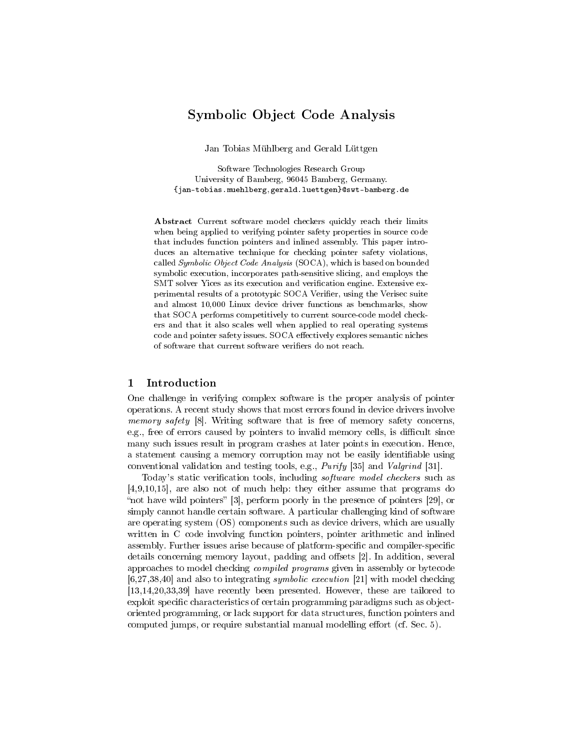# Symbolic Object Code Analysis

Jan Tobias Mühlberg and Gerald Lüttgen

Software Technologies Research Group University of Bamberg, 96045 Bamberg, Germany. {jan-tobias.muehlberg, gerald.luettgen}@swt-bamberg.de

Abstract Current software model checkers quickly reach their limits when being applied to verifying pointer safety properties in source code that includes function pointers and inlined assembly. This paper introduces an alternative technique for checking pointer safety violations, called Symbolic Object Code Analysis (SOCA), which is based on bounded symbolic execution, incorporates path-sensitive slicing, and employs the SMT solver Yices as its execution and verification engine. Extensive experimental results of a prototypic SOCA Verifier, using the Verisec suite and almost 10,000 Linux device driver functions as benchmarks, show that SOCA performs competitively to current source-code model checkers and that it also scales well when applied to real operating systems code and pointer safety issues. SOCA effectively explores semantic niches of software that current software verifiers do not reach.

## 1 Introduction

One challenge in verifying complex software is the proper analysis of pointer operations. A recent study shows that most errors found in device drivers involve memory safety [8]. Writing software that is free of memory safety concerns, e.g., free of errors caused by pointers to invalid memory cells, is difficult since many such issues result in program crashes at later points in execution. Hence, a statement causing a memory corruption may not be easily identifiable using conventional validation and testing tools, e.g., Purify [35] and Valgrind [31].

Today's static verification tools, including *software model checkers* such as [4,9,10,15], are also not of much help: they either assume that programs do "not have wild pointers" [3], perform poorly in the presence of pointers [29], or simply cannot handle certain software. A particular challenging kind of software are operating system (OS) components such as device drivers, which are usually written in C code involving function pointers, pointer arithmetic and inlined assembly. Further issues arise because of platform-specific and compiler-specific details concerning memory layout, padding and offsets [2]. In addition, several approaches to model checking compiled programs given in assembly or bytecode  $[6,27,38,40]$  and also to integrating *symbolic execution* [21] with model checking [13,14,20,33,39] have recently been presented. However, these are tailored to exploit specific characteristics of certain programming paradigms such as objectoriented programming, or lack support for data structures, function pointers and computed jumps, or require substantial manual modelling effort (cf. Sec. 5).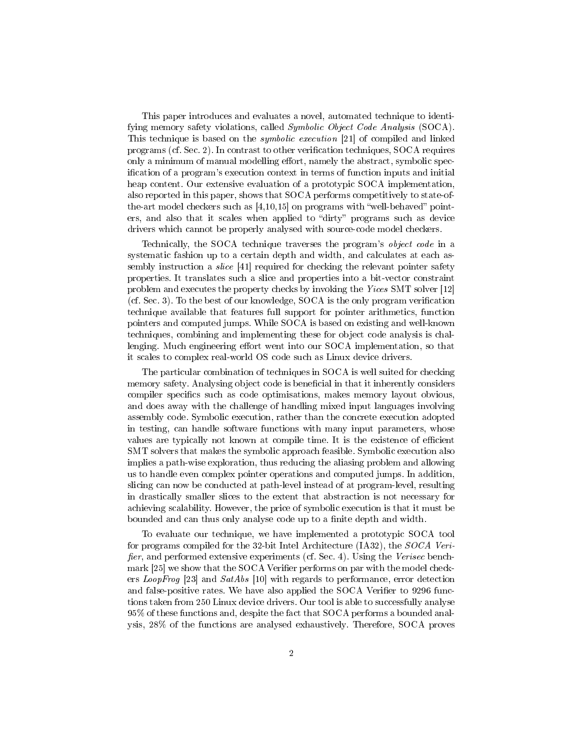This paper introduces and evaluates a novel, automated technique to identifying memory safety violations, called *Symbolic Object Code Analysis* (SOCA). This technique is based on the *symbolic execution* [21] of compiled and linked programs (cf. Sec. 2). In contrast to other verification techniques,  $SOCA$  requires only a minimum of manual modelling effort, namely the abstract, symbolic specification of a program's execution context in terms of function inputs and initial heap content. Our extensive evaluation of a prototypic SOCA implementation, also reported in this paper, shows that SOCA performs competitively to state-ofthe-art model checkers such as  $[4,10,15]$  on programs with "well-behaved" pointers, and also that it scales when applied to "dirty" programs such as device drivers which cannot be properly analysed with source-code model checkers.

Technically, the SOCA technique traverses the program's object code in a systematic fashion up to a certain depth and width, and calculates at each assembly instruction a *slice* [41] required for checking the relevant pointer safety properties. It translates such a slice and properties into a bit-vector constraint problem and executes the property checks by invoking the Yices SMT solver [12]  $(cf. Sec. 3)$ . To the best of our knowledge,  $SOCA$  is the only program verification technique available that features full support for pointer arithmetics, function pointers and computed jumps. While SOCA is based on existing and well-known techniques, combining and implementing these for object code analysis is challenging. Much engineering effort went into our SOCA implementation, so that it scales to complex real-world OS code such as Linux device drivers.

The particular combination of techniques in SOCA is well suited for checking memory safety. Analysing object code is beneficial in that it inherently considers compiler specifics such as code optimisations, makes memory layout obvious, and does away with the challenge of handling mixed input languages involving assembly code. Symbolic execution, rather than the concrete execution adopted in testing, can handle software functions with many input parameters, whose values are typically not known at compile time. It is the existence of efficient SMT solvers that makes the symbolic approach feasible. Symbolic execution also implies a path-wise exploration, thus reducing the aliasing problem and allowing us to handle even complex pointer operations and computed jumps. In addition, slicing can now be conducted at path-level instead of at program-level, resulting in drastically smaller slices to the extent that abstraction is not necessary for achieving scalability. However, the price of symbolic execution is that it must be bounded and can thus only analyse code up to a finite depth and width.

To evaluate our technique, we have implemented a prototypic SOCA tool for programs compiled for the 32-bit Intel Architecture (IA32), the SOCA Veri fier, and performed extensive experiments (cf. Sec. 4). Using the *Verisec* benchmark  $[25]$  we show that the SOCA Verifier performs on par with the model checkers LoopFrog [23] and  $SatAbs$  [10] with regards to performance, error detection and false-positive rates. We have also applied the SOCA Verifier to 9296 functions taken from 250 Linux device drivers. Our tool is able to successfully analyse 95% of these functions and, despite the fact that SOCA performs a bounded analysis, 28% of the functions are analysed exhaustively. Therefore, SOCA proves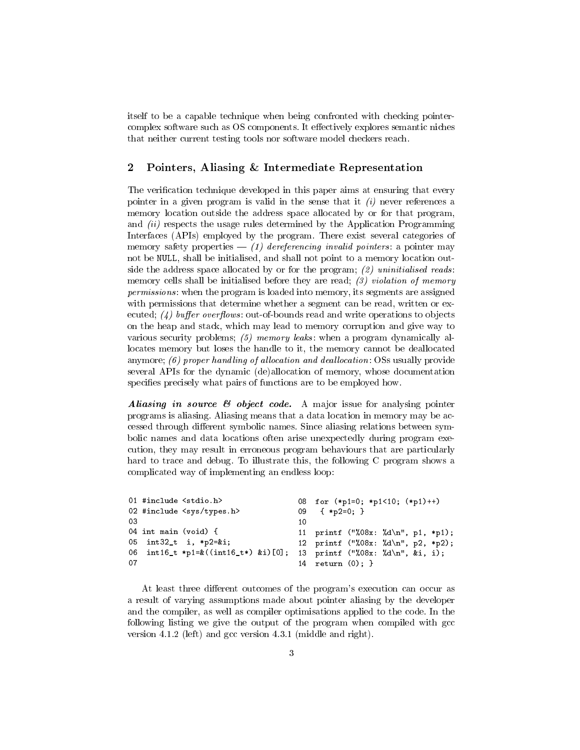itself to be a capable technique when being confronted with checking pointercomplex software such as OS components. It effectively explores semantic niches that neither current testing tools nor software model checkers reach.

## 2 Pointers, Aliasing & Intermediate Representation

The verification technique developed in this paper aims at ensuring that every pointer in a given program is valid in the sense that it  $(i)$  never references a memory location outside the address space allocated by or for that program, and *(ii)* respects the usage rules determined by the Application Programming Interfaces (APIs) employed by the program. There exist several categories of memory safety properties  $-$  (1) dereferencing invalid pointers: a pointer may not be NULL, shall be initialised, and shall not point to a memory location outside the address space allocated by or for the program;  $(2)$  uninitialised reads: memory cells shall be initialised before they are read;  $(3)$  violation of memory permissions: when the program is loaded into memory, its segments are assigned with permissions that determine whether a segment can be read, written or executed; (4) buffer overflows: out-of-bounds read and write operations to objects on the heap and stack, which may lead to memory corruption and give way to various security problems; (5) memory leaks: when a program dynamically allocates memory but loses the handle to it, the memory cannot be deallocated anymore; (6) proper handling of allocation and deallocation: OSs usually provide several APIs for the dynamic (de)allocation of memory, whose documentation specifies precisely what pairs of functions are to be employed how.

Aliasing in source  $\mathcal{B}$  object code. A major issue for analysing pointer programs is aliasing. Aliasing means that a data location in memory may be accessed through different symbolic names. Since aliasing relations between symbolic names and data locations often arise unexpectedly during program execution, they may result in erroneous program behaviours that are particularly hard to trace and debug. To illustrate this, the following C program shows a complicated way of implementing an endless loop:

```
01 #include <stdio.h>
02 #include <sys/types.h>
03
04 int main (void) {
05 int32_t i, *p2=&i;
06 int16_t *p1=&((int16_t*) &i)[0];
13 printf ("%08x: %d\n", &i, i);
07
                                     08 for (*p1=0; *p1<10; (*p1)++)
                                     09 { *p2=0; }
                                     10
                                     11 printf ("%08x: %d\n", p1, *p1);
                                     12 printf ("%08x: %d\n", p2, *p2);
                                     14 return (0); }
```
At least three different outcomes of the program's execution can occur as a result of varying assumptions made about pointer aliasing by the developer and the compiler, as well as compiler optimisations applied to the code. In the following listing we give the output of the program when compiled with gcc version 4.1.2 (left) and gcc version 4.3.1 (middle and right).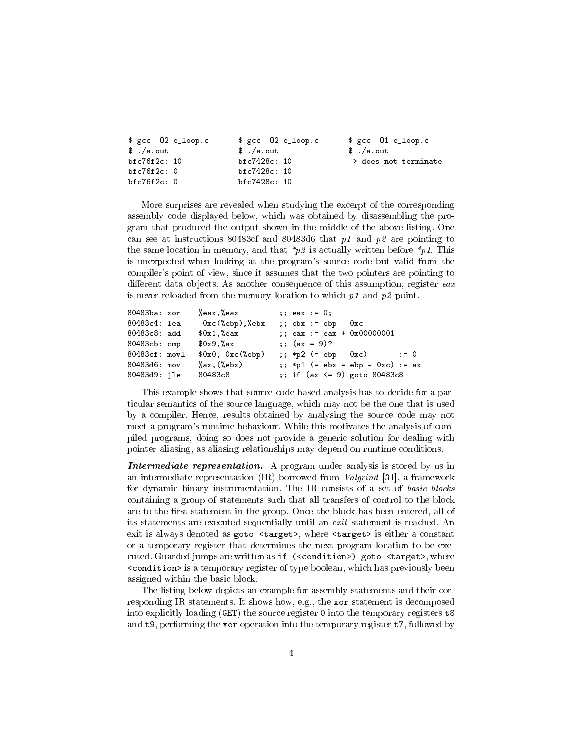| $$~gcc$ -02 e_loop.c  | $$$ gcc $-02$ e_loop.c | $$$ gcc $-01$ e_loop.c |
|-----------------------|------------------------|------------------------|
| $\frac{1}{2}$ ./a.out | $\frac{1}{2}$ ./a.out  | $\frac{1}{2}$ ./a.out  |
| bfc76f2c: 10          | bfc7428c: 10           | -> does not terminate  |
| bfc76f2c:0            | bfc7428c: 10           |                        |
| bfc76f2c:0            | bfc7428c: 10           |                        |

More surprises are revealed when studying the excerpt of the corresponding assembly code displayed below, which was obtained by disassembling the program that produced the output shown in the middle of the above listing. One can see at instructions 80483cf and 80483d6 that  $p1$  and  $p2$  are pointing to the same location in memory, and that  $\binom{*}{p}$  is actually written before  $\binom{*}{p}$ . This is unexpected when looking at the program's source code but valid from the compiler's point of view, since it assumes that the two pointers are pointing to different data objects. As another consequence of this assumption, register  $ear$ is never reloaded from the memory location to which  $p1$  and  $p2$  point.

| 80483ba: xor  | %eax,%eax               | ;; eax := 0;           |  |                                  |        |  |
|---------------|-------------------------|------------------------|--|----------------------------------|--------|--|
| 80483c4: lea  | $-0xc$ (%ebp), %ebx     | $:$ ebx $:=$ ebp - 0xc |  |                                  |        |  |
| 80483c8: add  | $0x1$ , $2x$            |                        |  | ;; eax := eax + $0x00000001$     |        |  |
| 80483cb: cmp  | $0x9,$ %ax              | $\therefore$ (ax = 9)? |  |                                  |        |  |
| 80483cf: movl | $$0x0, -0xc$ ( $%$ ebp) |                        |  | ;; *p2 (= ebp - 0xc)             | $:= 0$ |  |
| 80483d6: mov  | %ax,(%ebx)              |                        |  | ;; *p1 (= ebx = ebp - 0xc) := ax |        |  |
| 80483d9: jle  | 80483c8                 |                        |  | ;; if $(ax \le 9)$ goto 80483c8  |        |  |

This example shows that source-code-based analysis has to decide for a particular semantics of the source language, which may not be the one that is used by a compiler. Hence, results obtained by analysing the source code may not meet a program's runtime behaviour. While this motivates the analysis of compiled programs, doing so does not provide a generic solution for dealing with pointer aliasing, as aliasing relationships may depend on runtime conditions.

Intermediate representation. A program under analysis is stored by us in an intermediate representation  $(IR)$  borrowed from *Valgrind* [31], a framework for dynamic binary instrumentation. The IR consists of a set of basic blocks containing a group of statements such that all transfers of control to the block are to the first statement in the group. Once the block has been entered, all of its statements are executed sequentially until an exit statement is reached. An exit is always denoted as goto <target>, where <target> is either a constant or a temporary register that determines the next program location to be executed. Guarded jumps are written as if (<condition>) goto <target>, where <condition> is a temporary register of type boolean, which has previously been assigned within the basic block.

The listing below depicts an example for assembly statements and their corresponding IR statements. It shows how, e.g., the xor statement is decomposed into explicitly loading (GET) the source register 0 into the temporary registers t8 and t9, performing the xor operation into the temporary register t7, followed by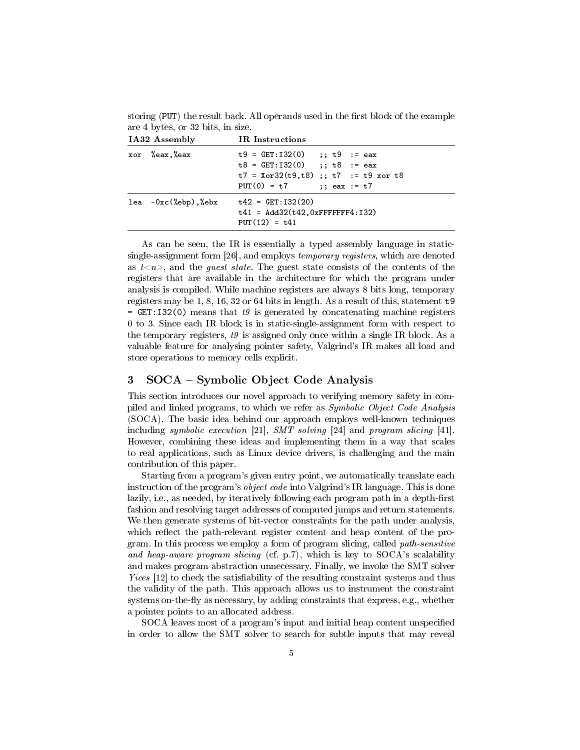storing (PUT) the result back. All operands used in the first block of the example are 4 bytes, or 32 bits, in size.

| IA32 Assembly                 |               | IR Instructions                                                                                                                                                  |  |  |  |  |
|-------------------------------|---------------|------------------------------------------------------------------------------------------------------------------------------------------------------------------|--|--|--|--|
|                               | xor %eax,%eax | $t9 = GET: I32(0)$ ;; $t9 = eax$<br>$t8 = GET: I32(0)$ ;; $t8 = eax$<br>$t7 = X \text{or} 32(t9, t8)$ ; $t7 := t9 \text{ xor } t8$<br>$PUT(0) = t7$ ;; eax := t7 |  |  |  |  |
| $lea -0xc$ ( $%ebp$ ), $%ebx$ |               | $t42 = GET: I32(20)$<br>$t41 = Add32(t42, 0xFFFFFF4:132)$<br>$PUT(12) = t41$                                                                                     |  |  |  |  |

As can be seen, the IR is essentially a typed assembly language in staticsingle-assignment form [26], and employs temporary registers, which are denoted as  $t \leq n$ , and the *quest state*. The guest state consists of the contents of the registers that are available in the architecture for which the program under analysis is compiled. While machine registers are always 8 bits long, temporary registers may be 1, 8, 16, 32 or 64 bits in length. As a result of this, statement t9 = GET:I32(0) means that t9 is generated by concatenating machine registers 0 to 3. Since each IR block is in static-single-assignment form with respect to the temporary registers,  $t\theta$  is assigned only once within a single IR block. As a valuable feature for analysing pointer safety, Valgrind's IR makes all load and store operations to memory cells explicit.

## 3 SOCA - Symbolic Object Code Analysis

This section introduces our novel approach to verifying memory safety in compiled and linked programs, to which we refer as Symbolic Object Code Analysis (SOCA). The basic idea behind our approach employs well-known techniques including symbolic execution [21], SMT solving [24] and program slicing [41]. However, combining these ideas and implementing them in a way that scales to real applications, such as Linux device drivers, is challenging and the main contribution of this paper.

Starting from a program's given entry point, we automatically translate each instruction of the program's *object code* into Valgrind's IR language. This is done lazily, i.e., as needed, by iteratively following each program path in a depth-first fashion and resolving target addresses of computed jumps and return statements. We then generate systems of bit-vector constraints for the path under analysis, which reflect the path-relevant register content and heap content of the program. In this process we employ a form of program slicing, called path-sensitive and heap-aware program slicing (cf. p.7), which is key to SOCA's scalability and makes program abstraction unnecessary. Finally, we invoke the SMT solver Yices [12] to check the satisfiability of the resulting constraint systems and thus the validity of the path. This approach allows us to instrument the constraint systems on-the-fly as necessary, by adding constraints that express,  $e.g.,$  whether a pointer points to an allocated address.

SOCA leaves most of a program's input and initial heap content unspecified in order to allow the SMT solver to search for subtle inputs that may reveal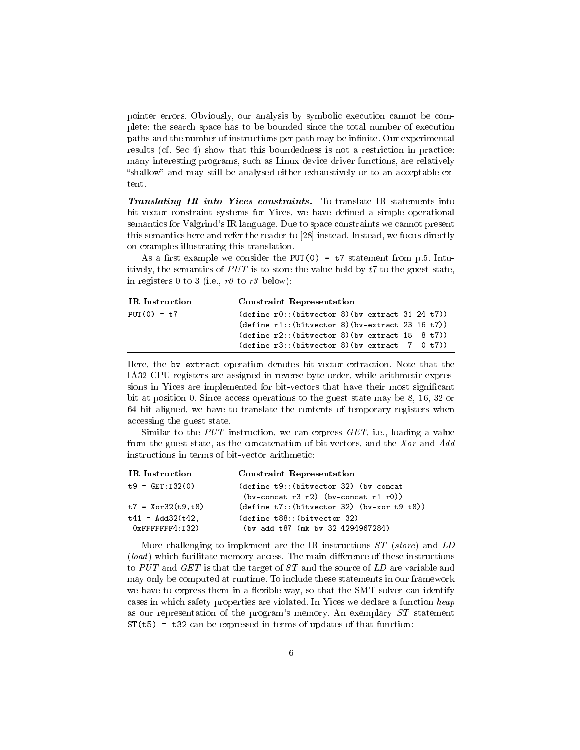pointer errors. Obviously, our analysis by symbolic execution cannot be complete: the search space has to be bounded since the total number of execution paths and the number of instructions per path may be infinite. Our experimental results (cf. Sec 4) show that this boundedness is not a restriction in practice: many interesting programs, such as Linux device driver functions, are relatively "shallow" and may still be analysed either exhaustively or to an acceptable extent.

Translating IR into Yices constraints. To translate IR statements into bit-vector constraint systems for Yices, we have defined a simple operational semantics for Valgrind's IR language. Due to space constraints we cannot present this semantics here and refer the reader to [28] instead. Instead, we focus directly on examples illustrating this translation.

As a first example we consider the PUT(0) =  $t7$  statement from p.5. Intuitively, the semantics of  $PUT$  is to store the value held by  $t7$  to the guest state, in registers 0 to 3 (i.e.,  $r\theta$  to  $r\theta$  below):

| IR Instruction | <b>Constraint Representation</b>                  |  |  |  |  |  |  |
|----------------|---------------------------------------------------|--|--|--|--|--|--|
| $PUT(0) = t7$  | $(define r0::(bitvector 8)(by-extract 31 24 t7))$ |  |  |  |  |  |  |
|                | $(define r1::(bitvector 8)(by-extract 23 16 t7))$ |  |  |  |  |  |  |
|                | $(define r2::(bitvector 8)(by-extract 15 8 t7))$  |  |  |  |  |  |  |
|                | $(define r3::(bitvector 8)(bv-extract 7 0 t7))$   |  |  |  |  |  |  |

Here, the bv-extract operation denotes bit-vector extraction. Note that the IA32 CPU registers are assigned in reverse byte order, while arithmetic expressions in Yices are implemented for bit-vectors that have their most signicant bit at position 0. Since access operations to the guest state may be 8, 16, 32 or 64 bit aligned, we have to translate the contents of temporary registers when accessing the guest state.

Similar to the  $PUT$  instruction, we can express  $GET$ , i.e., loading a value from the guest state, as the concatenation of bit-vectors, and the Xor and Add instructions in terms of bit-vector arithmetic:

| IR Instruction                | <b>Constraint Representation</b>               |  |  |  |  |
|-------------------------------|------------------------------------------------|--|--|--|--|
| $t9 = GET: I32(0)$            | (define t9:: (bitvector 32) (by-concat)        |  |  |  |  |
|                               | $(bv-concat r3 r2)$ $(bv-concat r1 r0)$        |  |  |  |  |
| $t7 = X \text{or} 32(t9, t8)$ | $(define t7::(bitvector 32)$ $(bv-xor t9 t8))$ |  |  |  |  |
| $t41 = Add32(t42,$            | (define t88:: (bitvector 32)                   |  |  |  |  |
| OxFFFFFFF4:132)               | (bv-add t87 (mk-bv 32 4294967284)              |  |  |  |  |

More challenging to implement are the IR instructions  $ST$  (store) and LD  $(load)$  which facilitate memory access. The main difference of these instructions to  $PUT$  and  $GET$  is that the target of  $ST$  and the source of  $LD$  are variable and may only be computed at runtime. To include these statements in our framework we have to express them in a flexible way, so that the SMT solver can identify cases in which safety properties are violated. In Yices we declare a function heap as our representation of the program's memory. An exemplary ST statement  $ST(t5) = t32$  can be expressed in terms of updates of that function: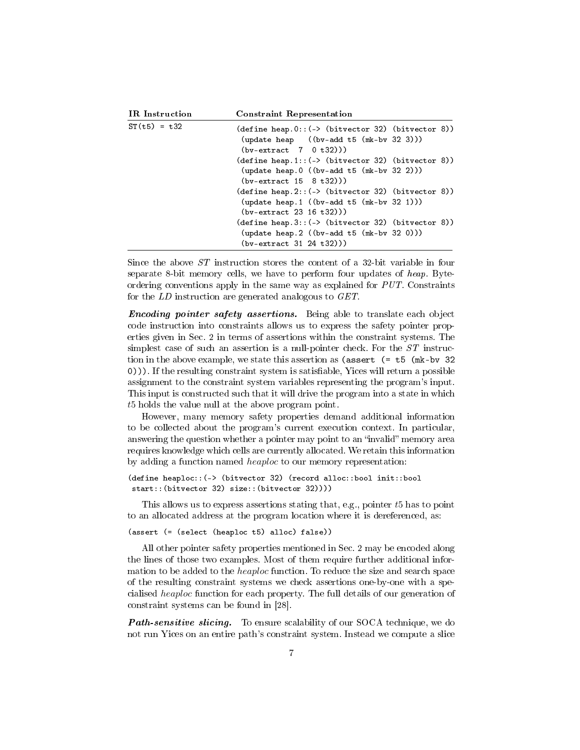| IR Instruction | <b>Constraint Representation</b>                                                                                                                                     |
|----------------|----------------------------------------------------------------------------------------------------------------------------------------------------------------------|
| $ST(t5) = t32$ | $(\text{define heap.0::} (-> (\text{bitvector 32}) (\text{bitvector 8}))$<br>$(\text{update heap} \quad ((bv - add t5 (mk-bv 32 3)))$<br>$(by-extract 7 0 t32)))$    |
|                | $(\text{define heap.1}: (-> (\text{bitvector 32}) (\text{bitvector 8})).$<br>$(\text{update heap.0 } ((bv - add t5 (mk-bv 32 2)))$<br>$(bv-extract 15 8 t32))$       |
|                | $(\text{define heap.2}::(-)$ (bitvector 32) (bitvector 8))<br>$(update heap.1 ((bv-add t5 (mk-bv 32 1)))$<br>$(bv-extract 23 16 t32))$                               |
|                | $(\text{define heap.3}: (-> (\text{bitvector 32}) (\text{bitvector 8})).$<br>$(\text{update heap.2 } (\text{by-add t5 } (mk-bv 32 0)))$<br>$(bv-extract 31 24 t32))$ |

Since the above ST instruction stores the content of a 32-bit variable in four separate 8-bit memory cells, we have to perform four updates of heap. Byteordering conventions apply in the same way as explained for PUT. Constraints for the LD instruction are generated analogous to GET.

Encoding pointer safety assertions. Being able to translate each object code instruction into constraints allows us to express the safety pointer properties given in Sec. 2 in terms of assertions within the constraint systems. The simplest case of such an assertion is a null-pointer check. For the ST instruction in the above example, we state this assertion as (assert  $($  =  $t5$  (mk-bv 32) 0))). If the resulting constraint system is satisfiable, Yices will return a possible assignment to the constraint system variables representing the program's input. This input is constructed such that it will drive the program into a state in which t5 holds the value null at the above program point.

However, many memory safety properties demand additional information to be collected about the program's current execution context. In particular, answering the question whether a pointer may point to an "invalid" memory area requires knowledge which cells are currently allocated. We retain this information by adding a function named *heaploc* to our memory representation:

```
(define heaploc::(-> (bitvector 32) (record alloc::bool init::bool
start::(bitvector 32) size::(bitvector 32))))
```
This allows us to express assertions stating that, e.g., pointer t5 has to point to an allocated address at the program location where it is dereferenced, as:

(assert (= (select (heaploc t5) alloc) false))

All other pointer safety properties mentioned in Sec. 2 may be encoded along the lines of those two examples. Most of them require further additional information to be added to the *heaploc* function. To reduce the size and search space of the resulting constraint systems we check assertions one-by-one with a specialised heaploc function for each property. The full details of our generation of constraint systems can be found in [28].

**Path-sensitive slicing.** To ensure scalability of our SOCA technique, we do not run Yices on an entire path's constraint system. Instead we compute a slice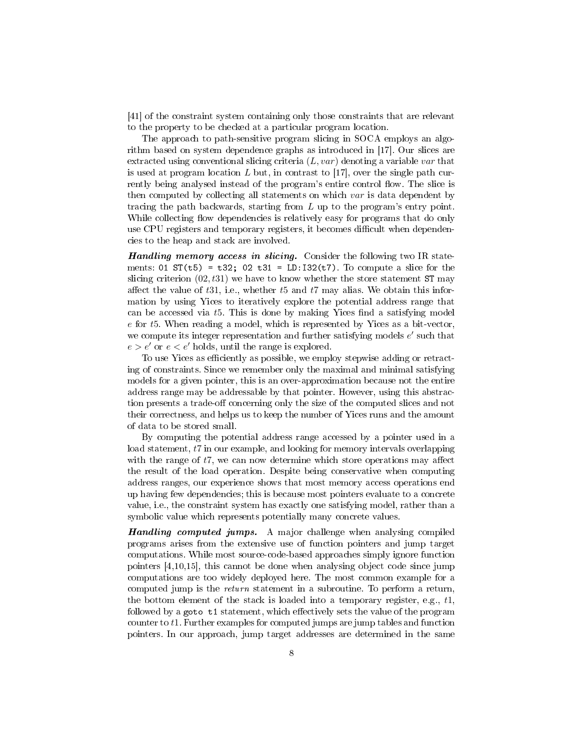[41] of the constraint system containing only those constraints that are relevant to the property to be checked at a particular program location.

The approach to path-sensitive program slicing in SOCA employs an algorithm based on system dependence graphs as introduced in [17]. Our slices are extracted using conventional slicing criteria  $(L, var)$  denoting a variable var that is used at program location  $L$  but, in contrast to [17], over the single path currently being analysed instead of the program's entire control flow. The slice is then computed by collecting all statements on which var is data dependent by tracing the path backwards, starting from L up to the program's entry point. While collecting flow dependencies is relatively easy for programs that do only use CPU registers and temporary registers, it becomes difficult when dependencies to the heap and stack are involved.

Handling memory access in slicing. Consider the following two IR statements: 01  $ST(t5) = t32$ ; 02 t31 = LD: I32(t7). To compute a slice for the slicing criterion  $(02, t31)$  we have to know whether the store statement ST may affect the value of  $t31$ , i.e., whether  $t5$  and  $t7$  may alias. We obtain this information by using Yices to iteratively explore the potential address range that can be accessed via  $t5$ . This is done by making Yices find a satisfying model e for t5. When reading a model, which is represented by Yices as a bit-vector, we compute its integer representation and further satisfying models  $e'$  such that  $e > e'$  or  $e < e'$  holds, until the range is explored.

To use Yices as efficiently as possible, we employ stepwise adding or retracting of constraints. Since we remember only the maximal and minimal satisfying models for a given pointer, this is an over-approximation because not the entire address range may be addressable by that pointer. However, using this abstraction presents a trade-off concerning only the size of the computed slices and not their correctness, and helps us to keep the number of Yices runs and the amount of data to be stored small.

By computing the potential address range accessed by a pointer used in a load statement,  $t7$  in our example, and looking for memory intervals overlapping with the range of  $t7$ , we can now determine which store operations may affect the result of the load operation. Despite being conservative when computing address ranges, our experience shows that most memory access operations end up having few dependencies; this is because most pointers evaluate to a concrete value, i.e., the constraint system has exactly one satisfying model, rather than a symbolic value which represents potentially many concrete values.

**Handling computed jumps.** A major challenge when analysing compiled programs arises from the extensive use of function pointers and jump target computations. While most source-code-based approaches simply ignore function pointers [4,10,15], this cannot be done when analysing object code since jump computations are too widely deployed here. The most common example for a computed jump is the return statement in a subroutine. To perform a return, the bottom element of the stack is loaded into a temporary register, e.g.,  $t_1$ , followed by a goto  $t1$  statement, which effectively sets the value of the program counter to t1. Further examples for computed jumps are jump tables and function pointers. In our approach, jump target addresses are determined in the same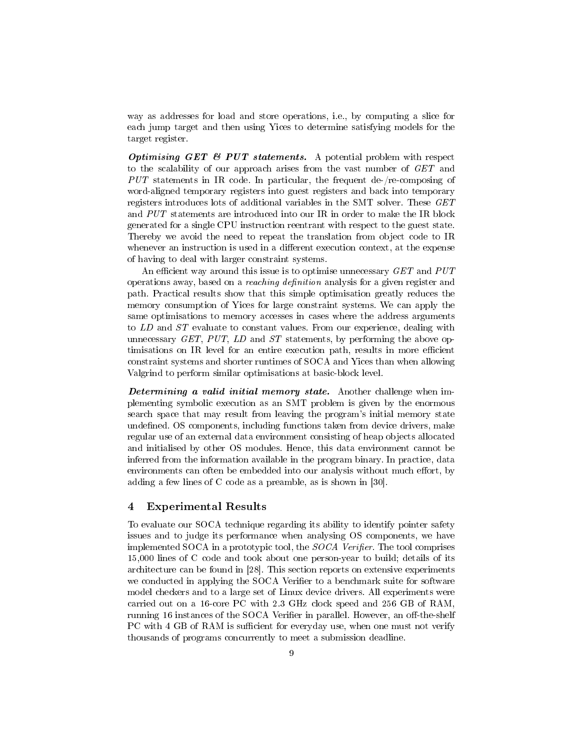way as addresses for load and store operations, i.e., by computing a slice for each jump target and then using Yices to determine satisfying models for the target register.

**Optimising GET & PUT statements.** A potential problem with respect to the scalability of our approach arises from the vast number of GET and  $PUT$  statements in IR code. In particular, the frequent de-/re-composing of word-aligned temporary registers into guest registers and back into temporary registers introduces lots of additional variables in the SMT solver. These GET and PUT statements are introduced into our IR in order to make the IR block generated for a single CPU instruction reentrant with respect to the guest state. Thereby we avoid the need to repeat the translation from object code to IR whenever an instruction is used in a different execution context, at the expense of having to deal with larger constraint systems.

An efficient way around this issue is to optimise unnecessary  $GET$  and  $PUT$ operations away, based on a *reaching definition* analysis for a given register and path. Practical results show that this simple optimisation greatly reduces the memory consumption of Yices for large constraint systems. We can apply the same optimisations to memory accesses in cases where the address arguments to LD and ST evaluate to constant values. From our experience, dealing with unnecessary  $GET$ ,  $PUT$ ,  $LD$  and  $ST$  statements, by performing the above optimisations on IR level for an entire execution path, results in more efficient constraint systems and shorter runtimes of SOCA and Yices than when allowing Valgrind to perform similar optimisations at basic-block level.

Determining a valid initial memory state. Another challenge when implementing symbolic execution as an SMT problem is given by the enormous search space that may result from leaving the program's initial memory state undefined. OS components, including functions taken from device drivers, make regular use of an external data environment consisting of heap objects allocated and initialised by other OS modules. Hence, this data environment cannot be inferred from the information available in the program binary. In practice, data environments can often be embedded into our analysis without much effort, by adding a few lines of C code as a preamble, as is shown in [30].

## 4 Experimental Results

To evaluate our SOCA technique regarding its ability to identify pointer safety issues and to judge its performance when analysing OS components, we have implemented SOCA in a prototypic tool, the  $SOCA$  Verifier. The tool comprises 15,000 lines of C code and took about one person-year to build; details of its architecture can be found in [28]. This section reports on extensive experiments we conducted in applying the SOCA Verifier to a benchmark suite for software model checkers and to a large set of Linux device drivers. All experiments were carried out on a 16-core PC with 2.3 GHz clock speed and 256 GB of RAM, running 16 instances of the SOCA Verifier in parallel. However, an off-the-shelf PC with 4 GB of RAM is sufficient for everyday use, when one must not verify thousands of programs concurrently to meet a submission deadline.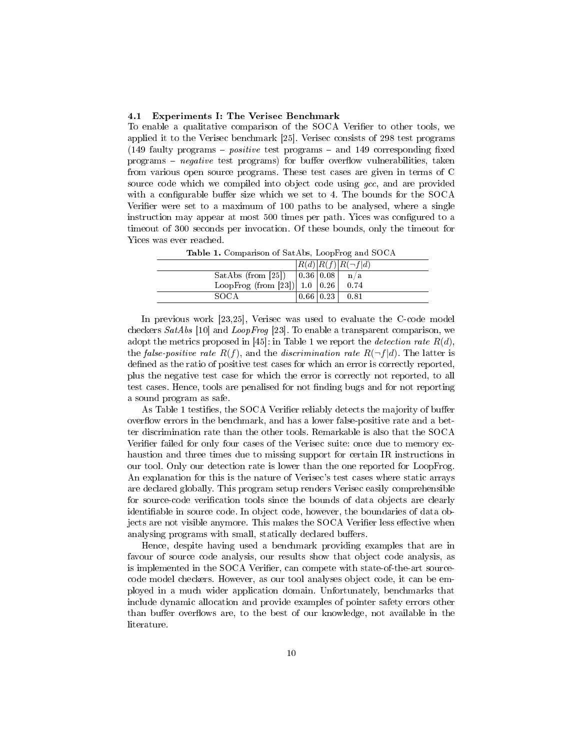#### 4.1 Experiments I: The Verisec Benchmark

To enable a qualitative comparison of the SOCA Verifier to other tools, we applied it to the Verisec benchmark [25]. Verisec consists of 298 test programs (149 faulty programs  $-$  *positive* test programs  $-$  and 149 corresponding fixed programs  $-$  *negative* test programs) for buffer overflow vulnerabilities, taken from various open source programs. These test cases are given in terms of C source code which we compiled into object code using gcc, and are provided with a configurable buffer size which we set to 4. The bounds for the  $SOCA$ Verifier were set to a maximum of 100 paths to be analysed, where a single instruction may appear at most 500 times per path. Yices was configured to a timeout of 300 seconds per invocation. Of these bounds, only the timeout for Yices was ever reached.

|                                          |  |  | $R(d)R(f)R(\neg f d)$              |  |  |  |  |
|------------------------------------------|--|--|------------------------------------|--|--|--|--|
| SatAbs (from [25]) $ 0.36 0.08 $ n/a     |  |  |                                    |  |  |  |  |
| LoopFrog (from [23])   1.0   0.26   0.74 |  |  |                                    |  |  |  |  |
| SOCA                                     |  |  | $\vert 0.66 \vert 0.23 \vert 0.81$ |  |  |  |  |

Table 1. Comparison of SatAbs, LoopFrog and SOCA

In previous work [23,25], Verisec was used to evaluate the C-code model checkers  $SatAbs$  [10] and LoopFrog [23]. To enable a transparent comparison, we adopt the metrics proposed in [45]: in Table 1 we report the *detection rate*  $R(d)$ , the false-positive rate  $R(f)$ , and the discrimination rate  $R(\neg f|d)$ . The latter is defined as the ratio of positive test cases for which an error is correctly reported, plus the negative test case for which the error is correctly not reported, to all test cases. Hence, tools are penalised for not finding bugs and for not reporting a sound program as safe.

As Table 1 testifies, the SOCA Verifier reliably detects the majority of buffer overflow errors in the benchmark, and has a lower false-positive rate and a better discrimination rate than the other tools. Remarkable is also that the SOCA Verifier failed for only four cases of the Verisec suite: once due to memory exhaustion and three times due to missing support for certain IR instructions in our tool. Only our detection rate is lower than the one reported for LoopFrog. An explanation for this is the nature of Verisec's test cases where static arrays are declared globally. This program setup renders Verisec easily comprehensible for source-code verification tools since the bounds of data objects are clearly identiable in source code. In object code, however, the boundaries of data objects are not visible anymore. This makes the SOCA Verifier less effective when analysing programs with small, statically declared buffers.

Hence, despite having used a benchmark providing examples that are in favour of source code analysis, our results show that object code analysis, as is implemented in the SOCA Verifier, can compete with state-of-the-art sourcecode model checkers. However, as our tool analyses object code, it can be employed in a much wider application domain. Unfortunately, benchmarks that include dynamic allocation and provide examples of pointer safety errors other than buffer overflows are, to the best of our knowledge, not available in the literature.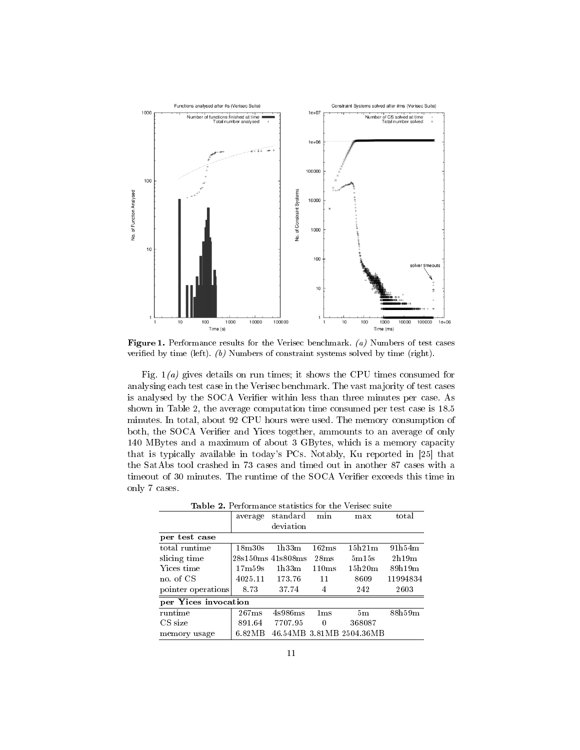

Figure 1. Performance results for the Verisec benchmark. (a) Numbers of test cases verified by time (left).  $(b)$  Numbers of constraint systems solved by time (right).

Fig.  $1(a)$  gives details on run times; it shows the CPU times consumed for analysing each test case in the Verisec benchmark. The vast majority of test cases is analysed by the SOCA Verifier within less than three minutes per case. As shown in Table 2, the average computation time consumed per test case is 18.5 minutes. In total, about 92 CPU hours were used. The memory consumption of both, the SOCA Verifier and Yices together, ammounts to an average of only 140 MBytes and a maximum of about 3 GBytes, which is a memory capacity that is typically available in today's PCs. Notably, Ku reported in [25] that the SatAbs tool crashed in 73 cases and timed out in another 87 cases with a timeout of 30 minutes. The runtime of the SOCA Verifier exceeds this time in only 7 cases.

| <b>Table 2.</b> Performance statistics for the Verisec suite |                    |            |                     |                          |          |  |  |
|--------------------------------------------------------------|--------------------|------------|---------------------|--------------------------|----------|--|--|
|                                                              | average            | standard   | min                 | max                      | total    |  |  |
|                                                              |                    | deviation  |                     |                          |          |  |  |
| per test case                                                |                    |            |                     |                          |          |  |  |
| total runtime                                                | 18 <sub>m30s</sub> | 1h33m      | $162 \,\mathrm{ms}$ | 15h21m                   | 91h54m   |  |  |
| slicing time                                                 | 28s150ms 41s808ms  |            | 28ms                | 5m15s                    | 2h19m    |  |  |
| Yices time                                                   | 17 <sub>m59s</sub> | 1h33m      | 110ms               | 15h20m                   | 89h19m   |  |  |
| no. of CS                                                    | 4025.11            | 173.76     | 11                  | 8609                     | 11994834 |  |  |
| pointer operations                                           | 8.73               | 37.74      | 4                   | 242                      | 2603     |  |  |
| per Yices invocation                                         |                    |            |                     |                          |          |  |  |
| runtime                                                      | 267ms              | $4s986$ ms | 1 <sub>ms</sub>     | 5m                       | 88h59m   |  |  |
| CS size                                                      | 891.64             | 7707.95    | $\Omega$            | 368087                   |          |  |  |
| memory usage                                                 | 6.82MB             |            |                     | 46.54MB 3.81MB 2504.36MB |          |  |  |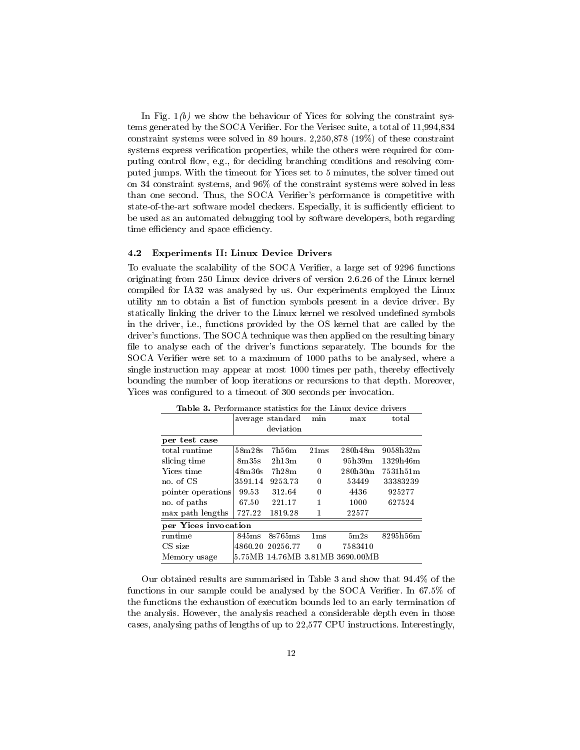In Fig.  $1(b)$  we show the behaviour of Yices for solving the constraint systems generated by the SOCA Verifier. For the Verisec suite, a total of 11,994,834 constraint systems were solved in 89 hours. 2,250,878 (19%) of these constraint systems express verification properties, while the others were required for computing control flow, e.g., for deciding branching conditions and resolving computed jumps. With the timeout for Yices set to 5 minutes, the solver timed out on 34 constraint systems, and 96% of the constraint systems were solved in less than one second. Thus, the SOCA Verifier's performance is competitive with state-of-the-art software model checkers. Especially, it is sufficiently efficient to be used as an automated debugging tool by software developers, both regarding time efficiency and space efficiency.

#### 4.2 Experiments II: Linux Device Drivers

To evaluate the scalability of the SOCA Verifier, a large set of 9296 functions originating from 250 Linux device drivers of version 2.6.26 of the Linux kernel compiled for IA32 was analysed by us. Our experiments employed the Linux utility nm to obtain a list of function symbols present in a device driver. By statically linking the driver to the Linux kernel we resolved undefined symbols in the driver, i.e., functions provided by the OS kernel that are called by the driver's functions. The SOCA technique was then applied on the resulting binary file to analyse each of the driver's functions separately. The bounds for the SOCA Verifier were set to a maximum of 1000 paths to be analysed, where a single instruction may appear at most 1000 times per path, thereby effectively bounding the number of loop iterations or recursions to that depth. Moreover, Yices was configured to a timeout of 300 seconds per invocation.

| <b>Table 3.</b> Performance statistics for the Linux device drivers |                   |                  |                  |                                 |          |  |  |  |
|---------------------------------------------------------------------|-------------------|------------------|------------------|---------------------------------|----------|--|--|--|
|                                                                     |                   | average standard | min              | max                             | total    |  |  |  |
|                                                                     |                   | deviation        |                  |                                 |          |  |  |  |
| per test case                                                       |                   |                  |                  |                                 |          |  |  |  |
| total runtime                                                       | 58m28s            | 7h56m            | $21 \,\text{ms}$ | 280h48m                         | 9058h32m |  |  |  |
| slicing time                                                        | 8 <sub>m35s</sub> | 2h13m            | 0                | 95h39m                          | 1329h46m |  |  |  |
| Yices time                                                          | 48m36s            | 7h28m            | 0                | 280h30m                         | 7531h51m |  |  |  |
| no. of CS                                                           | 3591.14           | 9253.73          | 0                | 53449                           | 33383239 |  |  |  |
| pointer operations                                                  | 99.53             | 312.64           | 0                | 4436                            | 925277   |  |  |  |
| no. of paths                                                        | 67.50             | 221.17           |                  | 1000                            | 627524   |  |  |  |
| max path lengths                                                    | 727.22            | 1819.28          |                  | 22577                           |          |  |  |  |
| per Yices invocation                                                |                   |                  |                  |                                 |          |  |  |  |
| runtime                                                             | 845ms             | 8s765ms          | 1 <sub>ms</sub>  | $5 \,\mathrm{m}2 \,\mathrm{s}$  | 8295h56m |  |  |  |
| CS size                                                             | 4860.20           | 20256.77         | $\theta$         | 7583410                         |          |  |  |  |
| Memory usage                                                        |                   |                  |                  | 5.75MB 14.76MB 3.81MB 3690.00MB |          |  |  |  |

Our obtained results are summarised in Table 3 and show that 94.4% of the functions in our sample could be analysed by the SOCA Verifier. In  $67.5\%$  of the functions the exhaustion of execution bounds led to an early termination of the analysis. However, the analysis reached a considerable depth even in those cases, analysing paths of lengths of up to 22,577 CPU instructions. Interestingly,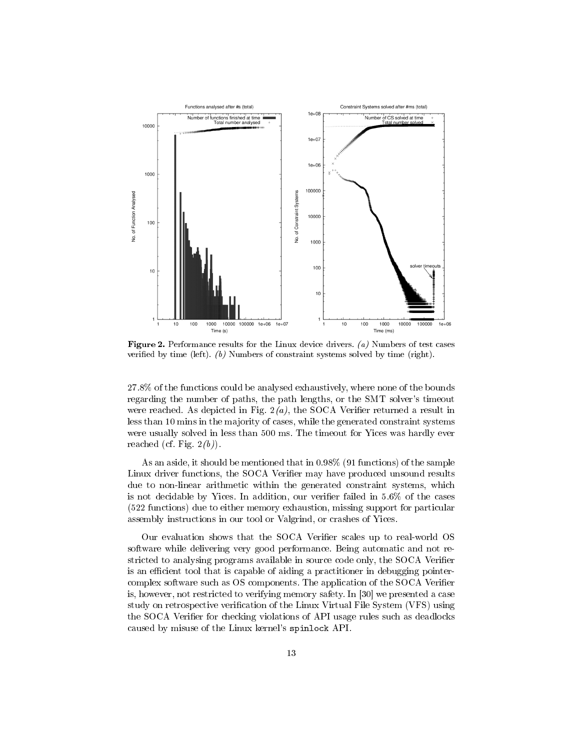

Figure 2. Performance results for the Linux device drivers. (a) Numbers of test cases verified by time (left). (b) Numbers of constraint systems solved by time (right).

27.8% of the functions could be analysed exhaustively, where none of the bounds regarding the number of paths, the path lengths, or the SMT solver's timeout were reached. As depicted in Fig.  $2(a)$ , the SOCA Verifier returned a result in less than 10 mins in the majority of cases, while the generated constraint systems were usually solved in less than 500 ms. The timeout for Yices was hardly ever reached (cf. Fig.  $2(b)$ ).

As an aside, it should be mentioned that in 0.98% (91 functions) of the sample Linux driver functions, the SOCA Verifier may have produced unsound results due to non-linear arithmetic within the generated constraint systems, which is not decidable by Yices. In addition, our verifier failed in  $5.6\%$  of the cases (522 functions) due to either memory exhaustion, missing support for particular assembly instructions in our tool or Valgrind, or crashes of Yices.

Our evaluation shows that the SOCA Verifier scales up to real-world OS software while delivering very good performance. Being automatic and not restricted to analysing programs available in source code only, the SOCA Verifier is an efficient tool that is capable of aiding a practitioner in debugging pointercomplex software such as OS components. The application of the SOCA Verifier is, however, not restricted to verifying memory safety. In [30] we presented a case study on retrospective verification of the Linux Virtual File System (VFS) using the SOCA Verifier for checking violations of API usage rules such as deadlocks caused by misuse of the Linux kernel's spinlock API.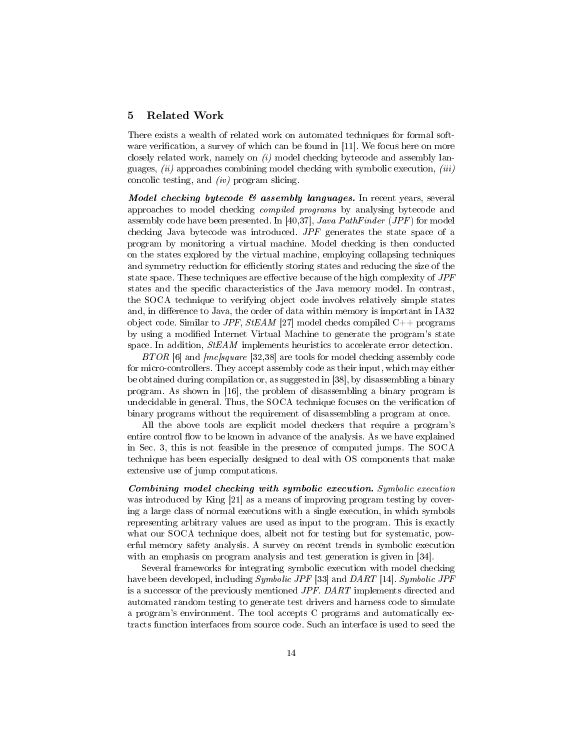## 5 Related Work

There exists a wealth of related work on automated techniques for formal software verification, a survey of which can be found in [11]. We focus here on more closely related work, namely on  $(i)$  model checking bytecode and assembly languages,  $(ii)$  approaches combining model checking with symbolic execution,  $(iii)$ concolic testing, and (iv) program slicing.

**Model checking bytecode**  $\mathcal{B}$  **assembly languages.** In recent years, several approaches to model checking compiled programs by analysing bytecode and assembly code have been presented. In [40,37], Java PathFinder (JPF) for model checking Java bytecode was introduced. JPF generates the state space of a program by monitoring a virtual machine. Model checking is then conducted on the states explored by the virtual machine, employing collapsing techniques and symmetry reduction for efficiently storing states and reducing the size of the state space. These techniques are effective because of the high complexity of  $JPF$ states and the specific characteristics of the Java memory model. In contrast, the SOCA technique to verifying object code involves relatively simple states and, in difference to Java, the order of data within memory is important in IA32 object code. Similar to JPF, StEAM [27] model checks compiled  $C_{++}$  programs by using a modied Internet Virtual Machine to generate the program's state space. In addition,  $StEAM$  implements heuristics to accelerate error detection.

 $BTOR$  [6] and  $[mcsquare]$  [32,38] are tools for model checking assembly code for micro-controllers. They accept assembly code as their input, which may either be obtained during compilation or, as suggested in [38], by disassembling a binary program. As shown in [16], the problem of disassembling a binary program is undecidable in general. Thus, the SOCA technique focuses on the verification of binary programs without the requirement of disassembling a program at once.

All the above tools are explicit model checkers that require a program's entire control flow to be known in advance of the analysis. As we have explained in Sec. 3, this is not feasible in the presence of computed jumps. The SOCA technique has been especially designed to deal with OS components that make extensive use of jump computations.

Combining model checking with symbolic execution. Symbolic execution was introduced by King [21] as a means of improving program testing by covering a large class of normal executions with a single execution, in which symbols representing arbitrary values are used as input to the program. This is exactly what our SOCA technique does, albeit not for testing but for systematic, powerful memory safety analysis. A survey on recent trends in symbolic execution with an emphasis on program analysis and test generation is given in [34].

Several frameworks for integrating symbolic execution with model checking have been developed, including *Symbolic JPF* [33] and *DART* [14]. Symbolic JPF is a successor of the previously mentioned JPF. DART implements directed and automated random testing to generate test drivers and harness code to simulate a program's environment. The tool accepts C programs and automatically extracts function interfaces from source code. Such an interface is used to seed the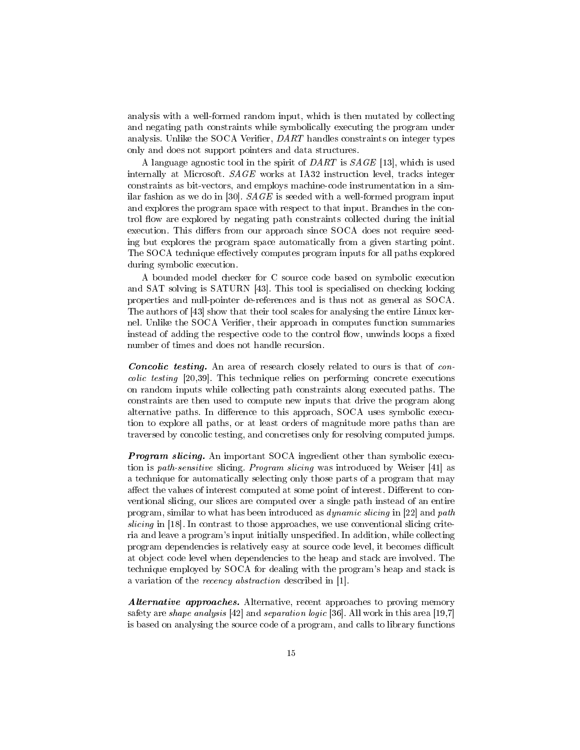analysis with a well-formed random input, which is then mutated by collecting and negating path constraints while symbolically executing the program under analysis. Unlike the SOCA Verifier,  $DART$  handles constraints on integer types only and does not support pointers and data structures.

A language agnostic tool in the spirit of DART is SAGE [13], which is used internally at Microsoft. SAGE works at IA32 instruction level, tracks integer constraints as bit-vectors, and employs machine-code instrumentation in a similar fashion as we do in [30].  $SAGE$  is seeded with a well-formed program input and explores the program space with respect to that input. Branches in the control flow are explored by negating path constraints collected during the initial execution. This differs from our approach since SOCA does not require seeding but explores the program space automatically from a given starting point. The SOCA technique effectively computes program inputs for all paths explored during symbolic execution.

A bounded model checker for C source code based on symbolic execution and SAT solving is SATURN [43]. This tool is specialised on checking locking properties and null-pointer de-references and is thus not as general as SOCA. The authors of [43] show that their tool scales for analysing the entire Linux kernel. Unlike the SOCA Verifier, their approach in computes function summaries instead of adding the respective code to the control flow, unwinds loops a fixed number of times and does not handle recursion.

Concolic testing. An area of research closely related to ours is that of concolic testing [20,39]. This technique relies on performing concrete executions on random inputs while collecting path constraints along executed paths. The constraints are then used to compute new inputs that drive the program along alternative paths. In difference to this approach, SOCA uses symbolic execution to explore all paths, or at least orders of magnitude more paths than are traversed by concolic testing, and concretises only for resolving computed jumps.

**Program slicing.** An important SOCA ingredient other than symbolic execution is path-sensitive slicing. Program slicing was introduced by Weiser [41] as a technique for automatically selecting only those parts of a program that may affect the values of interest computed at some point of interest. Different to conventional slicing, our slices are computed over a single path instead of an entire program, similar to what has been introduced as dynamic slicing in [22] and path slicing in [18]. In contrast to those approaches, we use conventional slicing criteria and leave a program's input initially unspecified. In addition, while collecting program dependencies is relatively easy at source code level, it becomes difficult at object code level when dependencies to the heap and stack are involved. The technique employed by SOCA for dealing with the program's heap and stack is a variation of the recency abstraction described in [1].

Alternative approaches. Alternative, recent approaches to proving memory safety are shape analysis [42] and separation logic [36]. All work in this area [19,7] is based on analysing the source code of a program, and calls to library functions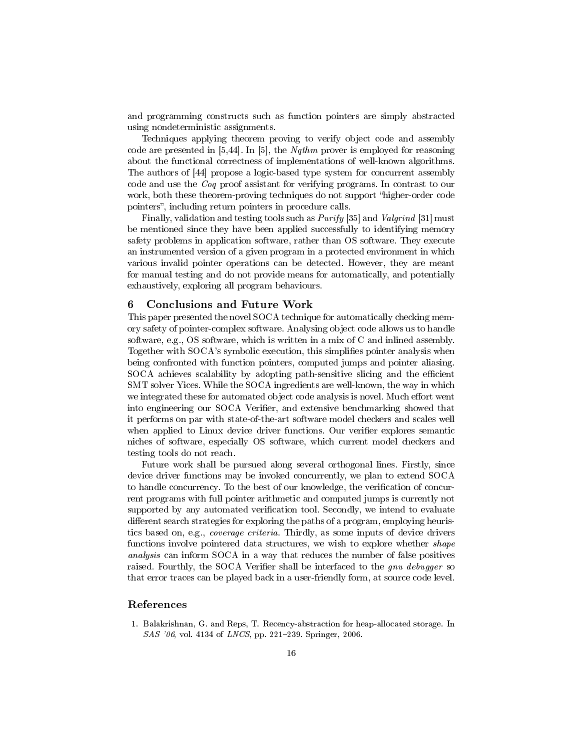and programming constructs such as function pointers are simply abstracted using nondeterministic assignments.

Techniques applying theorem proving to verify object code and assembly code are presented in  $[5,44]$ . In  $[5]$ , the *Nqthm* prover is employed for reasoning about the functional correctness of implementations of well-known algorithms. The authors of [44] propose a logic-based type system for concurrent assembly code and use the Coq proof assistant for verifying programs. In contrast to our work, both these theorem-proving techniques do not support "higher-order code pointers", including return pointers in procedure calls.

Finally, validation and testing tools such as Purify [35] and Valgrind [31] must be mentioned since they have been applied successfully to identifying memory safety problems in application software, rather than OS software. They execute an instrumented version of a given program in a protected environment in which various invalid pointer operations can be detected. However, they are meant for manual testing and do not provide means for automatically, and potentially exhaustively, exploring all program behaviours.

#### 6 Conclusions and Future Work

This paper presented the novel SOCA technique for automatically checking memory safety of pointer-complex software. Analysing object code allows us to handle software, e.g., OS software, which is written in a mix of C and inlined assembly. Together with SOCA's symbolic execution, this simplies pointer analysis when being confronted with function pointers, computed jumps and pointer aliasing. SOCA achieves scalability by adopting path-sensitive slicing and the efficient SMT solver Yices. While the SOCA ingredients are well-known, the way in which we integrated these for automated object code analysis is novel. Much effort went into engineering our SOCA Verifier, and extensive benchmarking showed that it performs on par with state-of-the-art software model checkers and scales well when applied to Linux device driver functions. Our verifier explores semantic niches of software, especially OS software, which current model checkers and testing tools do not reach.

Future work shall be pursued along several orthogonal lines. Firstly, since device driver functions may be invoked concurrently, we plan to extend SOCA to handle concurrency. To the best of our knowledge, the verification of concurrent programs with full pointer arithmetic and computed jumps is currently not supported by any automated verification tool. Secondly, we intend to evaluate different search strategies for exploring the paths of a program, employing heuristics based on, e.g., coverage criteria. Thirdly, as some inputs of device drivers functions involve pointered data structures, we wish to explore whether *shape* analysis can inform SOCA in a way that reduces the number of false positives raised. Fourthly, the SOCA Verifier shall be interfaced to the *qnu debugger* so that error traces can be played back in a user-friendly form, at source code level.

## References

1. Balakrishnan, G. and Reps, T. Recency-abstraction for heap-allocated storage. In  $SAS$  '06, vol. 4134 of  $LNCS$ , pp. 221-239. Springer, 2006.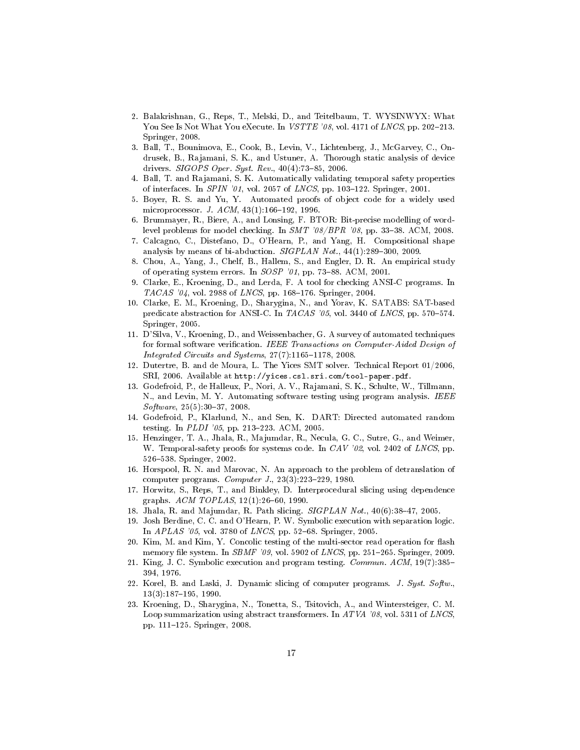- 2. Balakrishnan, G., Reps, T., Melski, D., and Teitelbaum, T. WYSINWYX: What You See Is Not What You eXecute. In  $VSTTE$  '08, vol. 4171 of  $LNCS$ , pp. 202-213. Springer, 2008.
- 3. Ball, T., Bounimova, E., Cook, B., Levin, V., Lichtenberg, J., McGarvey, C., Ondrusek, B., Rajamani, S. K., and Ustuner, A. Thorough static analysis of device drivers.  $SIGOPS$  Oper. Syst. Rev.,  $40(4)$ :73-85, 2006.
- 4. Ball, T. and Rajamani, S. K. Automatically validating temporal safety properties of interfaces. In SPIN '01, vol. 2057 of LNCS, pp. 103-122. Springer, 2001.
- 5. Boyer, R. S. and Yu, Y. Automated proofs of object code for a widely used microprocessor. J.  $ACM$ ,  $43(1):166-192$ , 1996.
- 6. Brummayer, R., Biere, A., and Lonsing, F. BTOR: Bit-precise modelling of wordlevel problems for model checking. In  $SMT$  '08/BPR '08, pp. 33-38. ACM, 2008.
- 7. Calcagno, C., Distefano, D., O'Hearn, P., and Yang, H. Compositional shape analysis by means of bi-abduction.  $SIGPLAN Not., 44(1):289-300, 2009.$
- 8. Chou, A., Yang, J., Chelf, B., Hallem, S., and Engler, D. R. An empirical study of operating system errors. In  $SOSP'01$ , pp. 73-88. ACM, 2001.
- 9. Clarke, E., Kroening, D., and Lerda, F. A tool for checking ANSI-C programs. In  $TACAS$  '04, vol. 2988 of  $LNCS$ , pp. 168-176. Springer, 2004.
- 10. Clarke, E. M., Kroening, D., Sharygina, N., and Yorav, K. SATABS: SAT-based predicate abstraction for ANSI-C. In  $TACAS$  '05, vol. 3440 of LNCS, pp. 570–574. Springer, 2005.
- 11. D'Silva, V., Kroening, D., and Weissenbacher, G. A survey of automated techniques for formal software verification. IEEE Transactions on Computer-Aided Design of Integrated Circuits and Systems,  $27(7)$ :1165-1178, 2008.
- 12. Dutertre, B. and de Moura, L. The Yices SMT solver. Technical Report 01/2006, SRI, 2006. Available at http://yices.csl.sri.com/tool-paper.pdf.
- 13. Godefroid, P., de Halleux, P., Nori, A. V., Rajamani, S. K., Schulte, W., Tillmann, N., and Levin, M. Y. Automating software testing using program analysis. IEEE  $Software, 25(5):30-37, 2008.$
- 14. Godefroid, P., Klarlund, N., and Sen, K. DART: Directed automated random testing. In *PLDI '05*, pp. 213-223. ACM, 2005.
- 15. Henzinger, T. A., Jhala, R., Majumdar, R., Necula, G. C., Sutre, G., and Weimer, W. Temporal-safety proofs for systems code. In CAV '02, vol. 2402 of LNCS, pp. 526-538. Springer, 2002.
- 16. Horspool, R. N. and Marovac, N. An approach to the problem of detranslation of computer programs. Computer  $J.$ ,  $23(3):223-229$ , 1980.
- 17. Horwitz, S., Reps, T., and Binkley, D. Interprocedural slicing using dependence graphs. ACM TOPLAS, 12(1):26-60, 1990.
- 18. Jhala, R. and Majumdar, R. Path slicing. SIGPLAN Not., 40(6):38-47, 2005.
- 19. Josh Berdine, C. C. and O'Hearn, P. W. Symbolic execution with separation logic. In  $APLAS$  '05, vol. 3780 of  $LNCS$ , pp. 52–68. Springer, 2005.
- 20. Kim, M. and Kim, Y. Concolic testing of the multi-sector read operation for flash memory file system. In  $SBMF$  '09, vol. 5902 of LNCS, pp. 251-265. Springer, 2009.
- 21. King, J. C. Symbolic execution and program testing. Commun. ACM, 19(7):385 394, 1976.
- 22. Korel, B. and Laski, J. Dynamic slicing of computer programs. J. Syst. Softw.,  $13(3):187-195, 1990.$
- 23. Kroening, D., Sharygina, N., Tonetta, S., Tsitovich, A., and Wintersteiger, C. M. Loop summarization using abstract transformers. In  $ATVA$  '08, vol. 5311 of LNCS, pp. 111125. Springer, 2008.